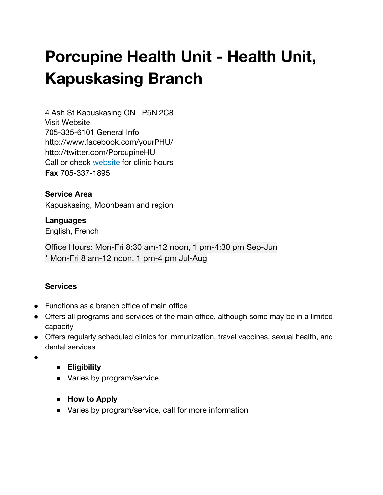# **Porcupine Health Unit - Health Unit, Kapuskasing Branch**

4 Ash St [Kapuskasing](http://google.ca/maps?q=49.4208880,-82.4173110) ON P5N 2C8 Visit [Website](http://www.porcupinehu.on.ca/) 705-335-6101 General Info [http://www.facebook.com/yourPHU/](https://211ontario.ca/33236-0_porcupine-health-unit-sexual-health-and-clinical-services-kapuskasing-branch-kapuskasing-branch/) [http://twitter.com/PorcupineHU](https://211ontario.ca/33236-0_porcupine-health-unit-sexual-health-and-clinical-services-kapuskasing-branch-kapuskasing-branch/) Call or check [website](http://www.porcupinehu.on.ca/en/calendar/) for clinic hours **Fax** 705-337-1895

### **Service Area**

Kapuskasing, Moonbeam and region

**Languages** English, French

Office Hours: Mon-Fri 8:30 am-12 noon, 1 pm-4:30 pm Sep-Jun \* Mon-Fri 8 am-12 noon, 1 pm-4 pm Jul-Aug

## **Services**

- Functions as a branch office of main office
- Offers all programs and services of the main office, although some may be in a limited capacity
- Offers regularly scheduled clinics for immunization, travel vaccines, sexual health, and dental services
- ●
- **● Eligibility**
- Varies by program/service
- **● How to Apply**
- Varies by program/service, call for more information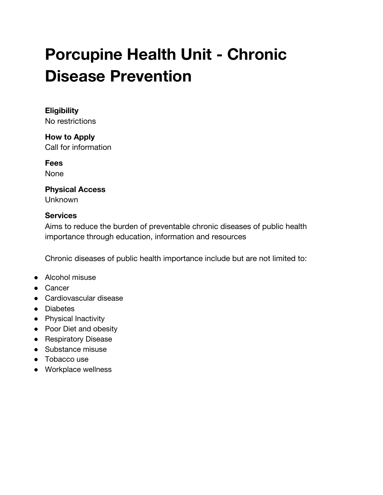# **Porcupine Health Unit - Chronic Disease Prevention**

# **Eligibility**

No restrictions

**How to Apply** Call for information

**Fees**

None

#### **Physical Access** Unknown

## **Services**

Aims to reduce the burden of preventable chronic diseases of public health importance through education, information and resources

Chronic diseases of public health importance include but are not limited to:

- Alcohol misuse
- Cancer
- Cardiovascular disease
- Diabetes
- Physical Inactivity
- Poor Diet and obesity
- Respiratory Disease
- Substance misuse
- Tobacco use
- Workplace wellness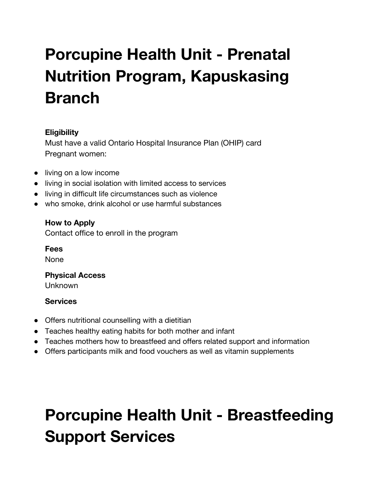# **Porcupine Health Unit - Prenatal Nutrition Program, Kapuskasing Branch**

# **Eligibility**

Must have a valid Ontario Hospital Insurance Plan (OHIP) card Pregnant women:

- living on a low income
- living in social isolation with limited access to services
- living in difficult life circumstances such as violence
- who smoke, drink alcohol or use harmful substances

# **How to Apply**

Contact office to enroll in the program

**Fees** None

### **Physical Access** Unknown

### **Services**

- Offers nutritional counselling with a dietitian
- Teaches healthy eating habits for both mother and infant
- Teaches mothers how to breastfeed and offers related support and information
- Offers participants milk and food vouchers as well as vitamin supplements

# **Porcupine Health Unit - Breastfeeding Support Services**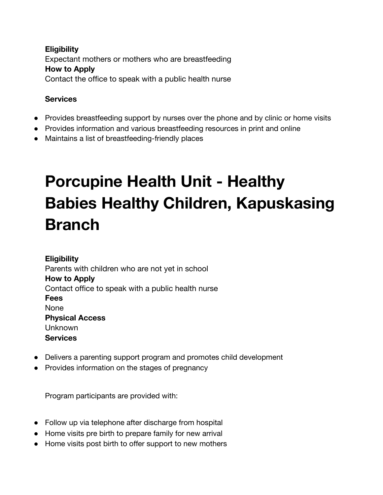## **Eligibility** Expectant mothers or mothers who are breastfeeding **How to Apply** Contact the office to speak with a public health nurse

### **Services**

- Provides breastfeeding support by nurses over the phone and by clinic or home visits
- Provides information and various breastfeeding resources in print and online
- Maintains a list of breastfeeding-friendly places

# **Porcupine Health Unit - Healthy Babies Healthy Children, Kapuskasing Branch**

**Eligibility** Parents with children who are not yet in school **How to Apply** Contact office to speak with a public health nurse **Fees** None **Physical Access** Unknown **Services**

- Delivers a parenting support program and promotes child development
- Provides information on the stages of pregnancy

Program participants are provided with:

- Follow up via telephone after discharge from hospital
- Home visits pre birth to prepare family for new arrival
- Home visits post birth to offer support to new mothers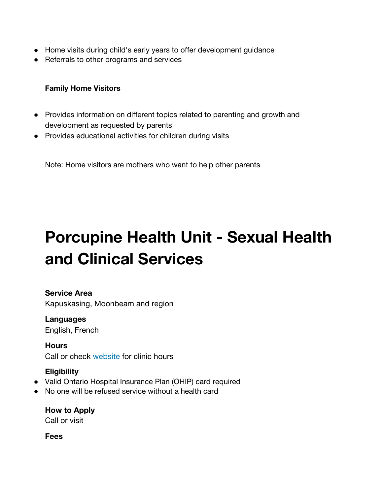- Home visits during child's early years to offer development guidance
- Referrals to other programs and services

#### **Family Home Visitors**

- Provides information on different topics related to parenting and growth and development as requested by parents
- Provides educational activities for children during visits

Note: Home visitors are mothers who want to help other parents

# **Porcupine Health Unit - Sexual Health and Clinical Services**

#### **Service Area**

Kapuskasing, Moonbeam and region

**Languages** English, French

**Hours** Call or check [website](http://www.porcupinehu.on.ca/en/calendar/) for clinic hours

## **Eligibility**

- Valid Ontario Hospital Insurance Plan (OHIP) card required
- No one will be refused service without a health card

**How to Apply** Call or visit

**Fees**